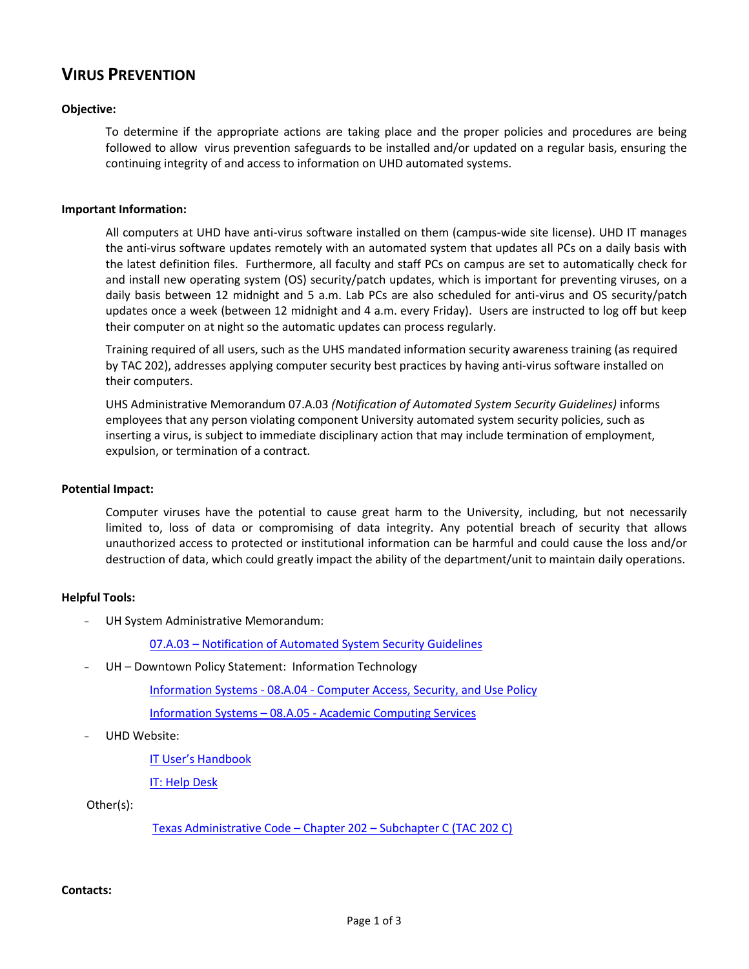## **VIRUS PREVENTION**

### **Objective:**

To determine if the appropriate actions are taking place and the proper policies and procedures are being followed to allow virus prevention safeguards to be installed and/or updated on a regular basis, ensuring the continuing integrity of and access to information on UHD automated systems.

#### **Important Information:**

All computers at UHD have anti-virus software installed on them (campus-wide site license). UHD IT manages the anti-virus software updates remotely with an automated system that updates all PCs on a daily basis with the latest definition files. Furthermore, all faculty and staff PCs on campus are set to automatically check for and install new operating system (OS) security/patch updates, which is important for preventing viruses, on a daily basis between 12 midnight and 5 a.m. Lab PCs are also scheduled for anti-virus and OS security/patch updates once a week (between 12 midnight and 4 a.m. every Friday). Users are instructed to log off but keep their computer on at night so the automatic updates can process regularly.

Training required of all users, such as the UHS mandated information security awareness training (as required by TAC 202), addresses applying computer security best practices by having anti-virus software installed on their computers.

UHS Administrative Memorandum 07.A.03 *(Notification of Automated System Security Guidelines)* informs employees that any person violating component University automated system security policies, such as inserting a virus, is subject to immediate disciplinary action that may include termination of employment, expulsion, or termination of a contract.

#### **Potential Impact:**

Computer viruses have the potential to cause great harm to the University, including, but not necessarily limited to, loss of data or compromising of data integrity. Any potential breach of security that allows unauthorized access to protected or institutional information can be harmful and could cause the loss and/or destruction of data, which could greatly impact the ability of the department/unit to maintain daily operations.

#### **Helpful Tools:**

- UH System Administrative Memorandum:

07.A.03 – [Notification of Automated System Security Guidelines](http://www.uhsa.uh.edu/sam/7InfoServices/7A3.pdf)

UH - Downtown Policy Statement: Information Technology

Information Systems - 08.A.04 - [Computer Access, Security, and Use Policy](http://www.uhd.edu/about/hr/PS08A04.pdf)

Information Systems – 08.A.05 - [Academic Computing Services](http://www.uhd.edu/about/hr/PS08A05.pdf) 

UHD Website:

IT User's [Handbook](http://www.uhd.edu/computing/policies/it_users_handbook.html)

[IT: Help Desk](http://www.uhd.edu/computing/helpdesk/)

Other(s):

[Texas Administrative Code](http://info.sos.state.tx.us/pls/pub/readtac$ext.ViewTAC?tac_view=5&ti=1&pt=10&ch=202&sch=C&rl=Y) – Chapter 202 – Subchapter C (TAC 202 C)

### **Contacts:**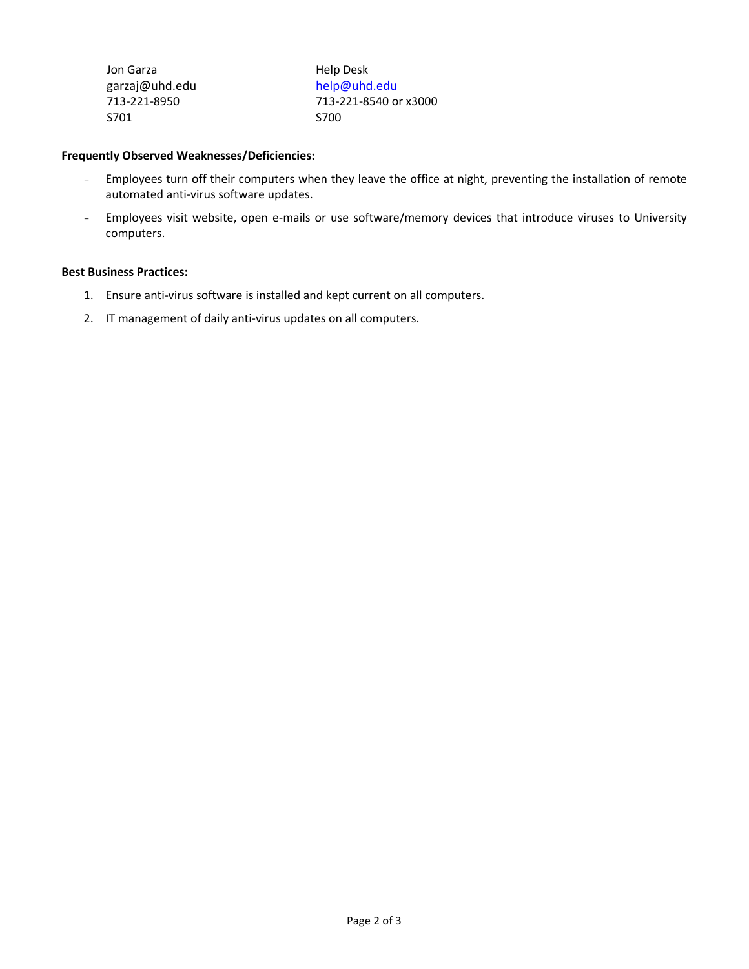| Jon Garza      | Help Desk             |
|----------------|-----------------------|
| garzaj@uhd.edu | help@uhd.edu          |
| 713-221-8950   | 713-221-8540 or x3000 |
| S701           | <b>S700</b>           |

### **Frequently Observed Weaknesses/Deficiencies:**

- Employees turn off their computers when they leave the office at night, preventing the installation of remote automated anti-virus software updates.
- Employees visit website, open e-mails or use software/memory devices that introduce viruses to University computers.

### **Best Business Practices:**

- 1. Ensure anti-virus software is installed and kept current on all computers.
- 2. IT management of daily anti-virus updates on all computers.